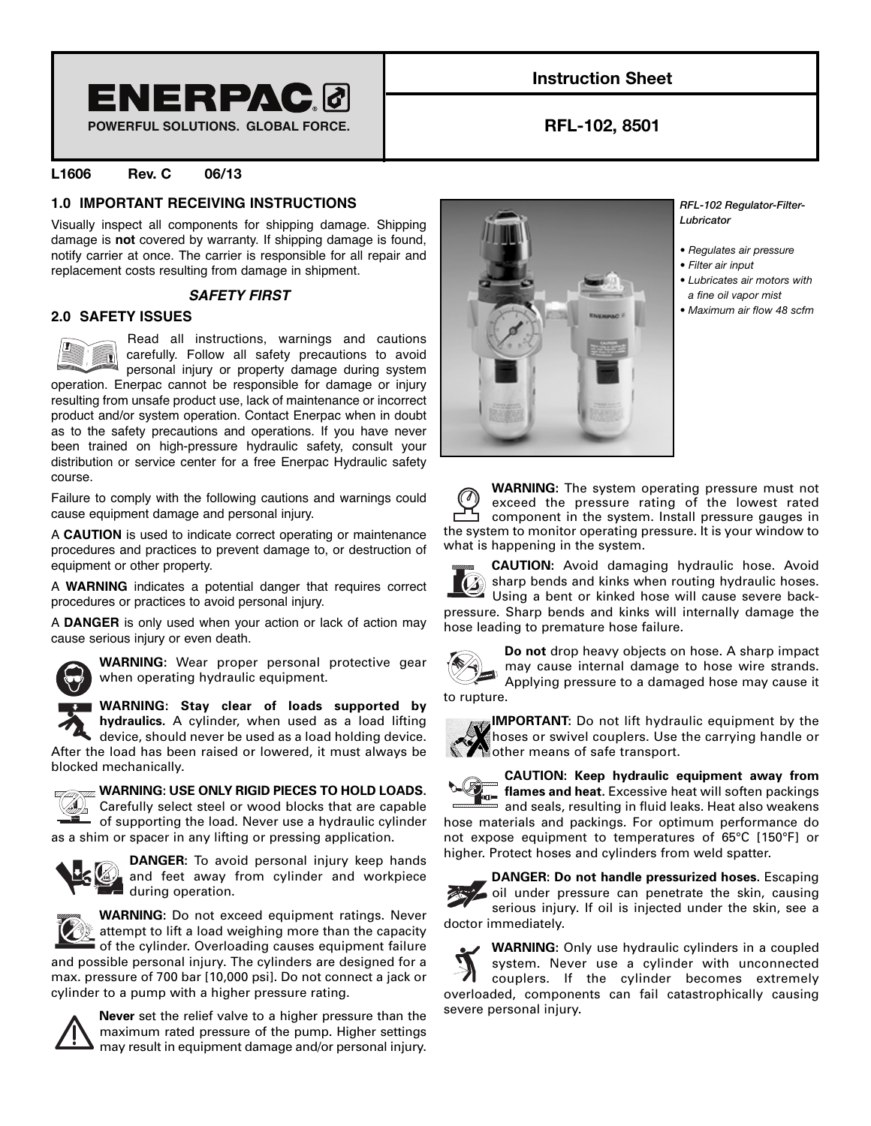

**POWERFUL SOLUTIONS. GLOBAL FORCE.**

# **Instruction Sheet**

**RFL-102, 8501**

# **L1606 Rev. C 06/13**

# **1.0 IMPORTANT RECEIVING INSTRUCTIONS**

Visually inspect all components for shipping damage. Shipping damage is **not** covered by warranty. If shipping damage is found, notify carrier at once. The carrier is responsible for all repair and replacement costs resulting from damage in shipment.

## **SAFETY FIRST**

# **2.0 SAFETY ISSUES**



Read all instructions, warnings and cautions carefully. Follow all safety precautions to avoid personal injury or property damage during system operation. Enerpac cannot be responsible for damage or injury

resulting from unsafe product use, lack of maintenance or incorrect product and/or system operation. Contact Enerpac when in doubt as to the safety precautions and operations. If you have never been trained on high-pressure hydraulic safety, consult your distribution or service center for a free Enerpac Hydraulic safety course.

Failure to comply with the following cautions and warnings could cause equipment damage and personal injury.

A **CAUTION** is used to indicate correct operating or maintenance procedures and practices to prevent damage to, or destruction of equipment or other property.

A **WARNING** indicates a potential danger that requires correct procedures or practices to avoid personal injury.

A **DANGER** is only used when your action or lack of action may cause serious injury or even death.



**WARNING:** Wear proper personal protective gear when operating hydraulic equipment.

**WARNING: Stay clear of loads supported by hydraulics.** A cylinder, when used as a load lifting

device, should never be used as a load holding device. After the load has been raised or lowered, it must always be blocked mechanically.



## **WARNING: USE ONLY RIGID PIECES TO HOLD LOADS.**

Carefully select steel or wood blocks that are capable of supporting the load. Never use a hydraulic cylinder as a shim or spacer in any lifting or pressing application.



**DANGER:** To avoid personal injury keep hands and feet away from cylinder and workpiece during operation.



**WARNING:** Do not exceed equipment ratings. Never attempt to lift a load weighing more than the capacity of the cylinder. Overloading causes equipment failure

and possible personal injury. The cylinders are designed for a max. pressure of 700 bar [10,000 psi]. Do not connect a jack or cylinder to a pump with a higher pressure rating.



**Never** set the relief valve to a higher pressure than the maximum rated pressure of the pump. Higher settings may result in equipment damage and/or personal injury.



*RFL-102 Regulator-Filter-Lubricator*

- *Regulates air pressure*
- *Filter air input*
- *Lubricates air motors with a fine oil vapor mist*
- *Maximum air flow 48 scfm*

|                                                                | <b>WARNING:</b> The system operating pressure must not |
|----------------------------------------------------------------|--------------------------------------------------------|
| $\circledcirc$                                                 | exceed the pressure rating of the lowest rated         |
|                                                                | component in the system. Install pressure gauges in    |
| the system to monitor operating pressure. It is your window to |                                                        |
| what is happening in the system.                               |                                                        |

**CAUTION:** Avoid damaging hydraulic hose. Avoid sharp bends and kinks when routing hydraulic hoses. Using a bent or kinked hose will cause severe backpressure. Sharp bends and kinks will internally damage the hose leading to premature hose failure.



**Do not** drop heavy objects on hose. A sharp impact may cause internal damage to hose wire strands. Applying pressure to a damaged hose may cause it

to rupture.



**CAUTION: Keep hydraulic equipment away from flames and heat.** Excessive heat will soften packings  $\overline{a}$  and seals, resulting in fluid leaks. Heat also weakens hose materials and packings. For optimum performance do not expose equipment to temperatures of 65°C [150°F] or higher. Protect hoses and cylinders from weld spatter.

**DANGER: Do not handle pressurized hoses.** Escaping oil under pressure can penetrate the skin, causing serious injury. If oil is injected under the skin, see a doctor immediately.

**WARNING:** Only use hydraulic cylinders in a coupled system. Never use a cylinder with unconnected couplers. If the cylinder becomes extremely overloaded, components can fail catastrophically causing severe personal injury.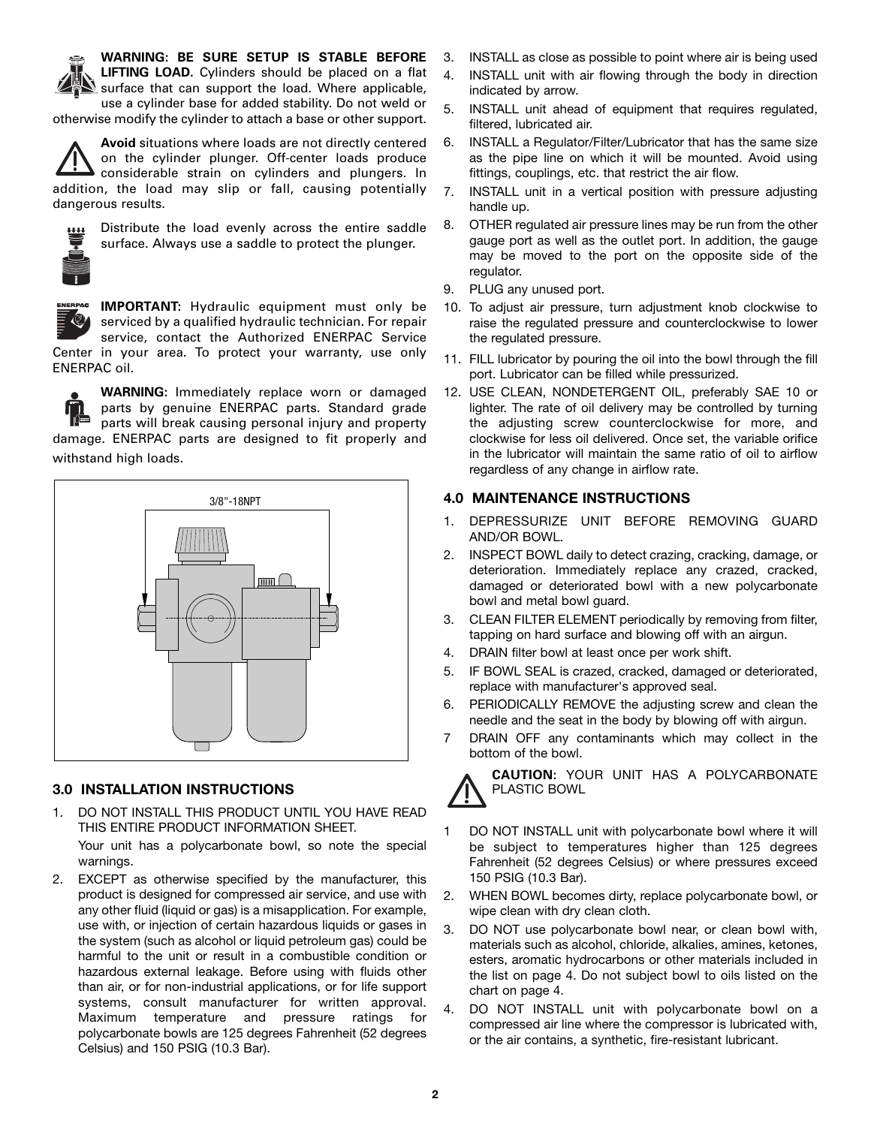

**WARNING: BE SURE SETUP IS STABLE BEFORE LIFTING LOAD.** Cylinders should be placed on a flat

surface that can support the load. Where applicable, use a cylinder base for added stability. Do not weld or

otherwise modify the cylinder to attach a base or other support.

**Avoid** situations where loads are not directly centered on the cylinder plunger. Off-center loads produce considerable strain on cylinders and plungers. In addition, the load may slip or fall, causing potentially dangerous results.



Distribute the load evenly across the entire saddle surface. Always use a saddle to protect the plunger.



**IMPORTANT:** Hydraulic equipment must only be serviced by a qualified hydraulic technician. For repair service, contact the Authorized ENERPAC Service Center in your area. To protect your warranty, use only ENERPAC oil.

**WARNING:** Immediately replace worn or damaged parts by genuine ENERPAC parts. Standard grade parts will break causing personal injury and property damage. ENERPAC parts are designed to fit properly and withstand high loads.



# **3.0 INSTALLATION INSTRUCTIONS**

1. DO NOT INSTALL THIS PRODUCT UNTIL YOU HAVE READ THIS ENTIRE PRODUCT INFORMATION SHEET.

Your unit has a polycarbonate bowl, so note the special warnings.

2. EXCEPT as otherwise specified by the manufacturer, this product is designed for compressed air service, and use with any other fluid (liquid or gas) is a misapplication. For example, use with, or injection of certain hazardous liquids or gases in the system (such as alcohol or liquid petroleum gas) could be harmful to the unit or result in a combustible condition or hazardous external leakage. Before using with fluids other than air, or for non-industrial applications, or for life support systems, consult manufacturer for written approval. Maximum temperature and pressure ratings for polycarbonate bowls are 125 degrees Fahrenheit (52 degrees Celsius) and 150 PSIG (10.3 Bar).

- 3. INSTALL as close as possible to point where air is being used
- 4. INSTALL unit with air flowing through the body in direction indicated by arrow.
- 5. INSTALL unit ahead of equipment that requires regulated, filtered, lubricated air.
- 6. INSTALL a Regulator/Filter/Lubricator that has the same size as the pipe line on which it will be mounted. Avoid using fittings, couplings, etc. that restrict the air flow.
- 7. INSTALL unit in a vertical position with pressure adjusting handle up.
- 8. OTHER regulated air pressure lines may be run from the other gauge port as well as the outlet port. In addition, the gauge may be moved to the port on the opposite side of the regulator.
- 9. PLUG any unused port.
- 10. To adjust air pressure, turn adjustment knob clockwise to raise the regulated pressure and counterclockwise to lower the regulated pressure.
- 11. FILL lubricator by pouring the oil into the bowl through the fill port. Lubricator can be filled while pressurized.
- 12. USE CLEAN, NONDETERGENT OIL, preferably SAE 10 or lighter. The rate of oil delivery may be controlled by turning the adjusting screw counterclockwise for more, and clockwise for less oil delivered. Once set, the variable orifice in the lubricator will maintain the same ratio of oil to airflow regardless of any change in airflow rate.

# **4.0 MAINTENANCE INSTRUCTIONS**

- 1. DEPRESSURIZE UNIT BEFORE REMOVING GUARD AND/OR BOWL.
- 2. INSPECT BOWL daily to detect crazing, cracking, damage, or deterioration. Immediately replace any crazed, cracked, damaged or deteriorated bowl with a new polycarbonate bowl and metal bowl guard.
- 3. CLEAN FILTER ELEMENT periodically by removing from filter, tapping on hard surface and blowing off with an airgun.
- 4. DRAIN filter bowl at least once per work shift.
- 5. IF BOWL SEAL is crazed, cracked, damaged or deteriorated, replace with manufacturer's approved seal.
- 6. PERIODICALLY REMOVE the adjusting screw and clean the needle and the seat in the body by blowing off with airgun.
- 7 DRAIN OFF any contaminants which may collect in the bottom of the bowl.



- 1 DO NOT INSTALL unit with polycarbonate bowl where it will be subject to temperatures higher than 125 degrees Fahrenheit (52 degrees Celsius) or where pressures exceed 150 PSIG (10.3 Bar).
- 2. WHEN BOWL becomes dirty, replace polycarbonate bowl, or wipe clean with dry clean cloth.
- 3. DO NOT use polycarbonate bowl near, or clean bowl with, materials such as alcohol, chloride, alkalies, amines, ketones, esters, aromatic hydrocarbons or other materials included in the list on page 4. Do not subject bowl to oils listed on the chart on page 4.
- 4. DO NOT INSTALL unit with polycarbonate bowl on a compressed air line where the compressor is lubricated with, or the air contains, a synthetic, fire-resistant lubricant.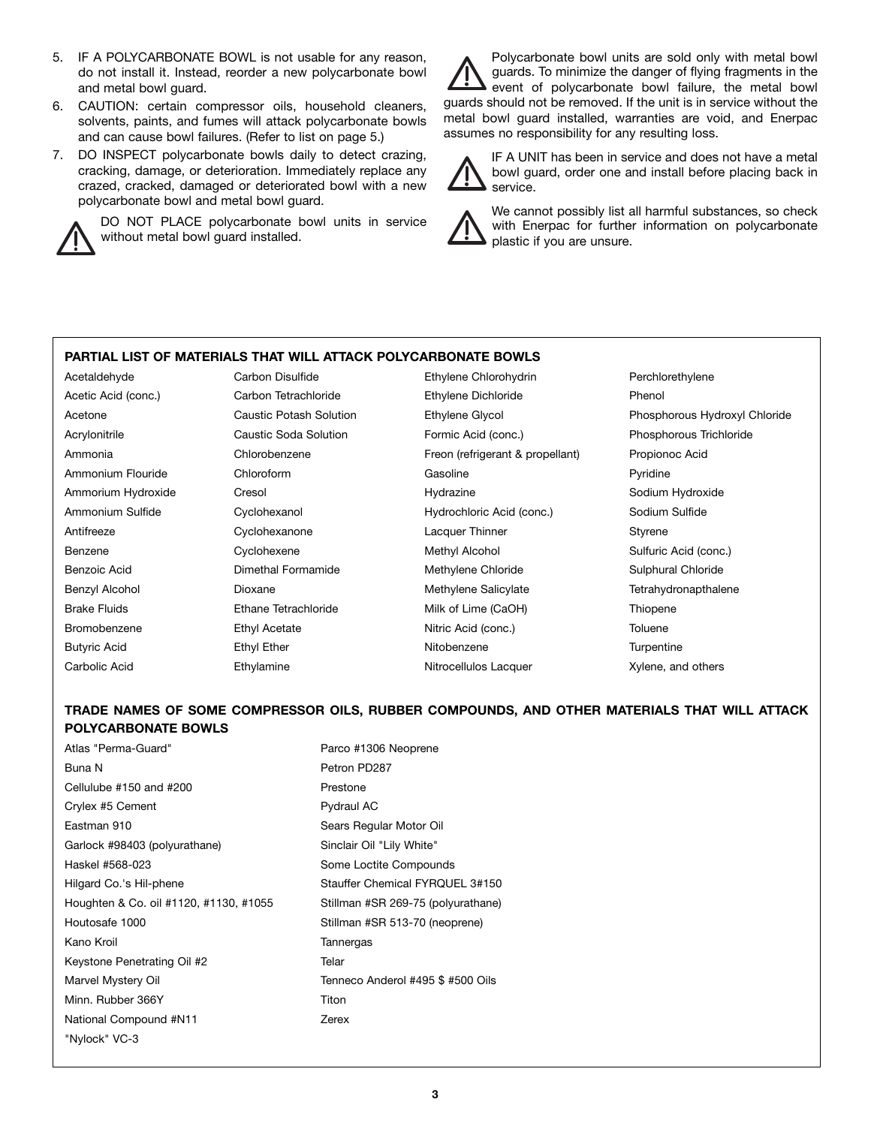- 5. IF A POLYCARBONATE BOWL is not usable for any reason, do not install it. Instead, reorder a new polycarbonate bowl and metal bowl guard.
- 6. CAUTION: certain compressor oils, household cleaners, solvents, paints, and fumes will attack polycarbonate bowls and can cause bowl failures. (Refer to list on page 5.)
- 7. DO INSPECT polycarbonate bowls daily to detect crazing, cracking, damage, or deterioration. Immediately replace any crazed, cracked, damaged or deteriorated bowl with a new polycarbonate bowl and metal bowl guard.



DO NOT PLACE polycarbonate bowl units in service without metal bowl guard installed.

Polycarbonate bowl units are sold only with metal bowl guards. To minimize the danger of flying fragments in the event of polycarbonate bowl failure, the metal bowl guards should not be removed. If the unit is in service without the metal bowl guard installed, warranties are void, and Enerpac assumes no responsibility for any resulting loss.

IF A UNIT has been in service and does not have a metal bowl guard, order one and install before placing back in service.

We cannot possibly list all harmful substances, so check with Enerpac for further information on polycarbonate plastic if you are unsure.

# **PARTIAL LIST OF MATERIALS THAT WILL ATTACK POLYCARBONATE BOWLS**

Acetaldehyde **Carbon Disulfide** Ethylene Chlorohydrin Perchlorethylene Perchlorethylene Acetic Acid (conc.) **Carbon Tetrachloride** Ethylene Dichloride Phenol Acetone Caustic Potash Solution Ethylene Glycol Phosphorous Hydroxyl Chloride Acrylonitrile Caustic Soda Solution Formic Acid (conc.) Phosphorous Trichloride Ammonia Chlorobenzene Freon (refrigerant & propellant) Propionoc Acid Ammonium Flouride Chloroform Communication Gasoline Christiane Pyridine Ammorium Hydroxide Cresol Hydrazine Sodium Hydroxide Ammonium Sulfide Cyclohexanol Hydrochloric Acid (conc.) Sodium Sulfide Antifreeze Cyclohexanone Lacquer Thinner Styrene Benzene **Sulfuric Acid (conc.)** Cyclohexene Methyl Alcohol Sulfuric Acid (conc.) Benzoic Acid **Sulphural Chimethal Formamide** Methylene Chloride Sulphural Chloride Sulphural Chloride Benzyl Alcohol **Dioxane Dioxane** Methylene Salicylate Tetrahydronapthalene Brake Fluids **Ethane Tetrachloride** Milk of Lime (CaOH) Thiopene Bromobenzene **Ethyl Acetate** Ethyl Acetate Nitric Acid (conc.) Toluene Butyric Acid Ethyl Ether Nitobenzene Turpentine

Carbolic Acid **Ethylamine** Ethylamine Nitrocellulos Lacquer **Nitrocellulos Lacquer** Xylene, and others

# **TRADE NAMES OF SOME COMPRESSOR OILS, RUBBER COMPOUNDS, AND OTHER MATERIALS THAT WILL ATTACK POLYCARBONATE BOWLS**

Atlas "Perma-Guard" entitled and the Parco #1306 Neoprene Buna N<br>
Petron PD287 Cellulube #150 and #200 Prestone Crylex #5 Cement Pydraul AC Eastman 910 **Sears Regular Motor Oil** Garlock #98403 (polyurathane) Sinclair Oil "Lily White" Haskel #568-023 Some Loctite Compounds Hilgard Co.'s Hil-phene Stauffer Chemical FYRQUEL 3#150 Houghten & Co. oil #1120, #1130, #1055 Stillman #SR 269-75 (polyurathane) Houtosafe 1000 Stillman #SR 513-70 (neoprene) Kano Kroil **Tannergas** Keystone Penetrating Oil #2 Telar Marvel Mystery Oil **Marvel Mystery Oil Tenneco Anderol #495 \$ #500 Oils** Minn. Rubber 366Y Titon National Compound #N11 **Zerex** "Nylock" VC-3